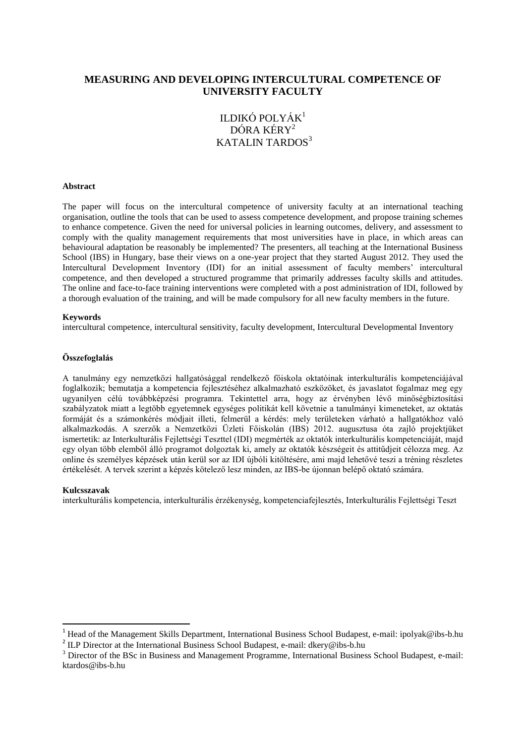# **MEASURING AND DEVELOPING INTERCULTURAL COMPETENCE OF UNIVERSITY FACULTY**

# ILDIKÓ POLYÁK 1 DÓRA KÉRY<sup>2</sup> KATALIN TARDOS<sup>3</sup>

#### **Abstract**

The paper will focus on the intercultural competence of university faculty at an international teaching organisation, outline the tools that can be used to assess competence development, and propose training schemes to enhance competence. Given the need for universal policies in learning outcomes, delivery, and assessment to comply with the quality management requirements that most universities have in place, in which areas can behavioural adaptation be reasonably be implemented? The presenters, all teaching at the International Business School (IBS) in Hungary, base their views on a one-year project that they started August 2012. They used the Intercultural Development Inventory (IDI) for an initial assessment of faculty members' intercultural competence, and then developed a structured programme that primarily addresses faculty skills and attitudes. The online and face-to-face training interventions were completed with a post administration of IDI, followed by a thorough evaluation of the training, and will be made compulsory for all new faculty members in the future.

#### **Keywords**

intercultural competence, intercultural sensitivity, faculty development, Intercultural Developmental Inventory

#### **Összefoglalás**

A tanulmány egy nemzetközi hallgatósággal rendelkező főiskola oktatóinak interkulturális kompetenciájával foglalkozik; bemutatja a kompetencia fejlesztéséhez alkalmazható eszközöket, és javaslatot fogalmaz meg egy ugyanilyen célú továbbképzési programra. Tekintettel arra, hogy az érvényben lévő minőségbiztosítási szabályzatok miatt a legtöbb egyetemnek egységes politikát kell követnie a tanulmányi kimeneteket, az oktatás formáját és a számonkérés módjait illeti, felmerül a kérdés: mely területeken várható a hallgatókhoz való alkalmazkodás. A szerzők a Nemzetközi Üzleti Főiskolán (IBS) 2012. augusztusa óta zajló projektjüket ismertetik: az Interkulturális Fejlettségi Teszttel (IDI) megmérték az oktatók interkulturális kompetenciáját, majd egy olyan több elemből álló programot dolgoztak ki, amely az oktatók készségeit és attitűdjeit célozza meg. Az online és személyes képzések után kerül sor az IDI újbóli kitöltésére, ami majd lehetővé teszi a tréning részletes értékelését. A tervek szerint a képzés kötelező lesz minden, az IBS-be újonnan belépő oktató számára.

#### **Kulcsszavak**

 $\overline{a}$ 

interkulturális kompetencia, interkulturális érzékenység, kompetenciafejlesztés, Interkulturális Fejlettségi Teszt

<sup>&</sup>lt;sup>1</sup> Head of the Management Skills Department, International Business School Budapest, e-mail[: ipolyak@ibs-b.hu](mailto:ipolyak@ibs-b.hu)

<sup>&</sup>lt;sup>2</sup> ILP Director at the International Business School Budapest, e-mail: [dkery@ibs-b.hu](mailto:dkery@ibs-b.hu)

<sup>&</sup>lt;sup>3</sup> Director of the BSc in Business and Management Programme, International Business School Budapest, e-mail: [ktardos@ibs-b.hu](mailto:ktardos@ibs-b.hu)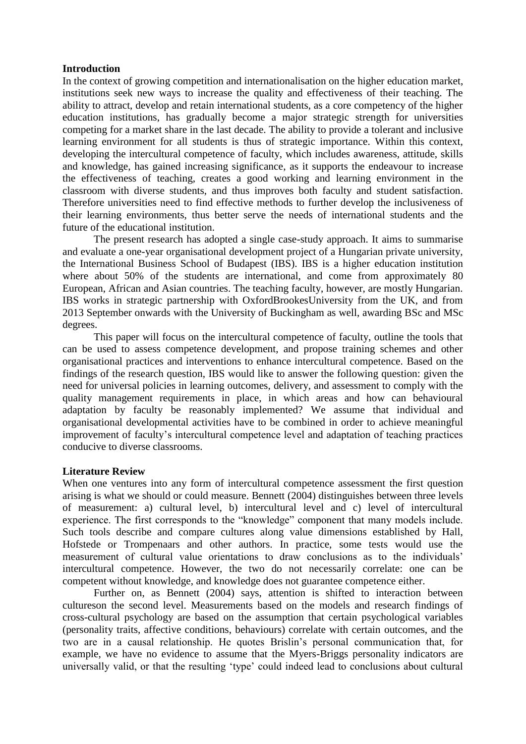### **Introduction**

In the context of growing competition and internationalisation on the higher education market, institutions seek new ways to increase the quality and effectiveness of their teaching. The ability to attract, develop and retain international students, as a core competency of the higher education institutions, has gradually become a major strategic strength for universities competing for a market share in the last decade. The ability to provide a tolerant and inclusive learning environment for all students is thus of strategic importance. Within this context, developing the intercultural competence of faculty, which includes awareness, attitude, skills and knowledge, has gained increasing significance, as it supports the endeavour to increase the effectiveness of teaching, creates a good working and learning environment in the classroom with diverse students, and thus improves both faculty and student satisfaction. Therefore universities need to find effective methods to further develop the inclusiveness of their learning environments, thus better serve the needs of international students and the future of the educational institution.

The present research has adopted a single case-study approach. It aims to summarise and evaluate a one-year organisational development project of a Hungarian private university, the International Business School of Budapest (IBS). IBS is a higher education institution where about 50% of the students are international, and come from approximately 80 European, African and Asian countries. The teaching faculty, however, are mostly Hungarian. IBS works in strategic partnership with OxfordBrookesUniversity from the UK, and from 2013 September onwards with the University of Buckingham as well, awarding BSc and MSc degrees.

This paper will focus on the intercultural competence of faculty, outline the tools that can be used to assess competence development, and propose training schemes and other organisational practices and interventions to enhance intercultural competence. Based on the findings of the research question, IBS would like to answer the following question: given the need for universal policies in learning outcomes, delivery, and assessment to comply with the quality management requirements in place, in which areas and how can behavioural adaptation by faculty be reasonably implemented? We assume that individual and organisational developmental activities have to be combined in order to achieve meaningful improvement of faculty's intercultural competence level and adaptation of teaching practices conducive to diverse classrooms.

# **Literature Review**

When one ventures into any form of intercultural competence assessment the first question arising is what we should or could measure. Bennett (2004) distinguishes between three levels of measurement: a) cultural level, b) intercultural level and c) level of intercultural experience. The first corresponds to the "knowledge" component that many models include. Such tools describe and compare cultures along value dimensions established by Hall, Hofstede or Trompenaars and other authors. In practice, some tests would use the measurement of cultural value orientations to draw conclusions as to the individuals' intercultural competence. However, the two do not necessarily correlate: one can be competent without knowledge, and knowledge does not guarantee competence either.

Further on, as Bennett (2004) says, attention is shifted to interaction between cultureson the second level. Measurements based on the models and research findings of cross-cultural psychology are based on the assumption that certain psychological variables (personality traits, affective conditions, behaviours) correlate with certain outcomes, and the two are in a causal relationship. He quotes Brislin's personal communication that, for example, we have no evidence to assume that the Myers-Briggs personality indicators are universally valid, or that the resulting 'type' could indeed lead to conclusions about cultural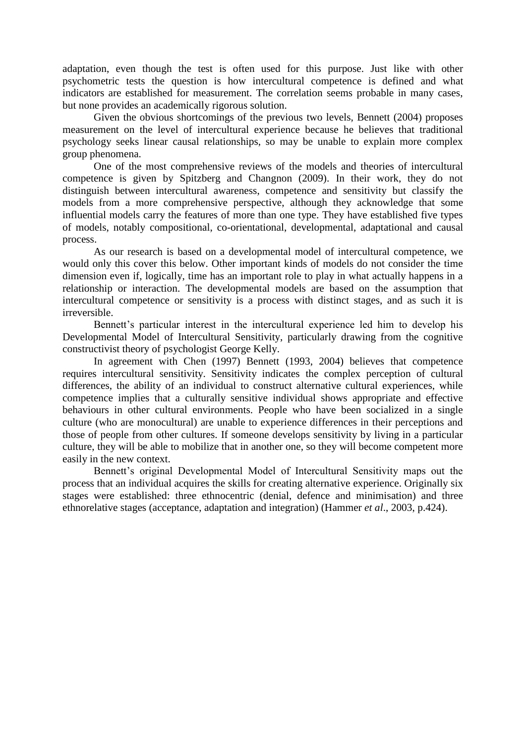adaptation, even though the test is often used for this purpose. Just like with other psychometric tests the question is how intercultural competence is defined and what indicators are established for measurement. The correlation seems probable in many cases, but none provides an academically rigorous solution.

Given the obvious shortcomings of the previous two levels, Bennett (2004) proposes measurement on the level of intercultural experience because he believes that traditional psychology seeks linear causal relationships, so may be unable to explain more complex group phenomena.

One of the most comprehensive reviews of the models and theories of intercultural competence is given by Spitzberg and Changnon (2009). In their work, they do not distinguish between intercultural awareness, competence and sensitivity but classify the models from a more comprehensive perspective, although they acknowledge that some influential models carry the features of more than one type. They have established five types of models, notably compositional, co-orientational, developmental, adaptational and causal process.

As our research is based on a developmental model of intercultural competence, we would only this cover this below. Other important kinds of models do not consider the time dimension even if, logically, time has an important role to play in what actually happens in a relationship or interaction. The developmental models are based on the assumption that intercultural competence or sensitivity is a process with distinct stages, and as such it is irreversible.

Bennett's particular interest in the intercultural experience led him to develop his Developmental Model of Intercultural Sensitivity, particularly drawing from the cognitive constructivist theory of psychologist George Kelly.

In agreement with Chen (1997) Bennett (1993, 2004) believes that competence requires intercultural sensitivity. Sensitivity indicates the complex perception of cultural differences, the ability of an individual to construct alternative cultural experiences, while competence implies that a culturally sensitive individual shows appropriate and effective behaviours in other cultural environments. People who have been socialized in a single culture (who are monocultural) are unable to experience differences in their perceptions and those of people from other cultures. If someone develops sensitivity by living in a particular culture, they will be able to mobilize that in another one, so they will become competent more easily in the new context.

Bennett's original Developmental Model of Intercultural Sensitivity maps out the process that an individual acquires the skills for creating alternative experience. Originally six stages were established: three ethnocentric (denial, defence and minimisation) and three ethnorelative stages (acceptance, adaptation and integration) (Hammer *et al*., 2003, p.424).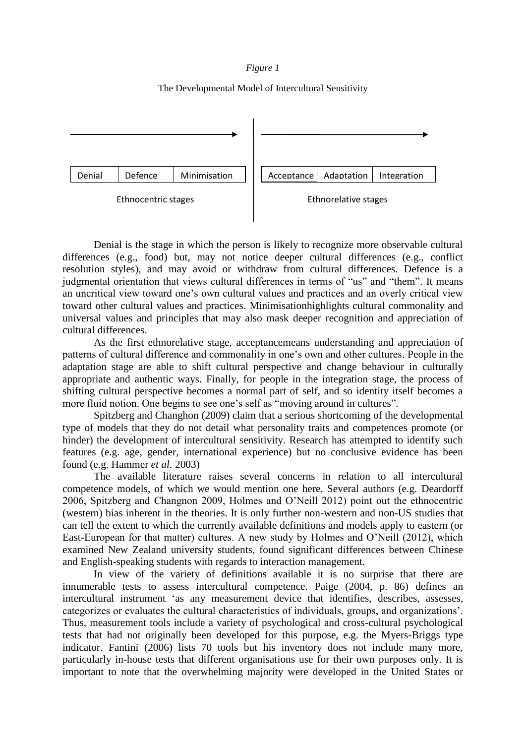### *Figure 1*

### The Developmental Model of Intercultural Sensitivity



Denial is the stage in which the person is likely to recognize more observable cultural differences (e.g., food) but, may not notice deeper cultural differences (e.g., conflict resolution styles), and may avoid or withdraw from cultural differences. Defence is a judgmental orientation that views cultural differences in terms of "us" and "them". It means an uncritical view toward one's own cultural values and practices and an overly critical view toward other cultural values and practices. Minimisationhighlights cultural commonality and universal values and principles that may also mask deeper recognition and appreciation of cultural differences.

As the first ethnorelative stage, acceptancemeans understanding and appreciation of patterns of cultural difference and commonality in one's own and other cultures. People in the adaptation stage are able to shift cultural perspective and change behaviour in culturally appropriate and authentic ways. Finally, for people in the integration stage, the process of shifting cultural perspective becomes a normal part of self, and so identity itself becomes a more fluid notion. One begins to see one's self as "moving around in cultures".

Spitzberg and Changhon (2009) claim that a serious shortcoming of the developmental type of models that they do not detail what personality traits and competences promote (or hinder) the development of intercultural sensitivity. Research has attempted to identify such features (e.g. age, gender, international experience) but no conclusive evidence has been found (e.g. Hammer *et al.* 2003)

The available literature raises several concerns in relation to all intercultural competence models, of which we would mention one here. Several authors (e.g. Deardorff 2006, Spitzberg and Changnon 2009, Holmes and O'Neill 2012) point out the ethnocentric (western) bias inherent in the theories. It is only further non-western and non-US studies that can tell the extent to which the currently available definitions and models apply to eastern (or East-European for that matter) cultures. A new study by Holmes and O'Neill (2012), which examined New Zealand university students, found significant differences between Chinese and English-speaking students with regards to interaction management.

In view of the variety of definitions available it is no surprise that there are innumerable tests to assess intercultural competence. Paige (2004, p. 86) defines an intercultural instrument 'as any measurement device that identifies, describes, assesses, categorizes or evaluates the cultural characteristics of individuals, groups, and organizations'. Thus, measurement tools include a variety of psychological and cross-cultural psychological tests that had not originally been developed for this purpose, e.g. the Myers-Briggs type indicator. Fantini (2006) lists 70 tools but his inventory does not include many more, particularly in-house tests that different organisations use for their own purposes only. It is important to note that the overwhelming majority were developed in the United States or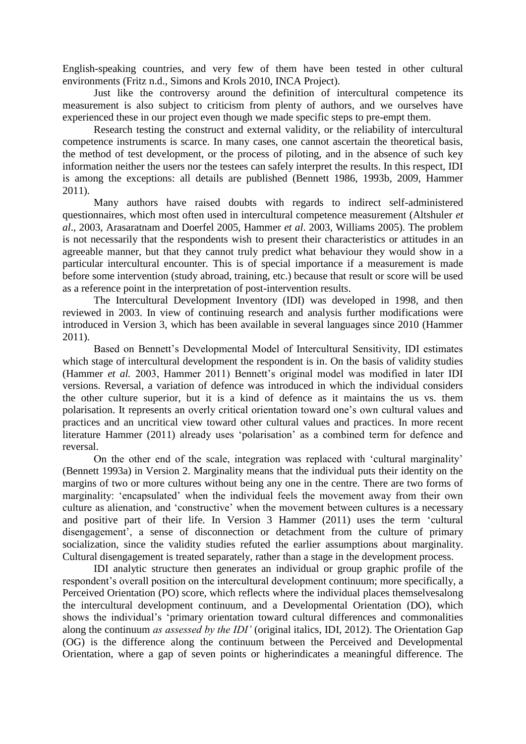English-speaking countries, and very few of them have been tested in other cultural environments (Fritz n.d., Simons and Krols 2010, INCA Project).

Just like the controversy around the definition of intercultural competence its measurement is also subject to criticism from plenty of authors, and we ourselves have experienced these in our project even though we made specific steps to pre-empt them.

Research testing the construct and external validity, or the reliability of intercultural competence instruments is scarce. In many cases, one cannot ascertain the theoretical basis, the method of test development, or the process of piloting, and in the absence of such key information neither the users nor the testees can safely interpret the results. In this respect, IDI is among the exceptions: all details are published (Bennett 1986, 1993b, 2009, Hammer 2011).

Many authors have raised doubts with regards to indirect self-administered questionnaires, which most often used in intercultural competence measurement (Altshuler *et al*., 2003, Arasaratnam and Doerfel 2005, Hammer *et al*. 2003, Williams 2005). The problem is not necessarily that the respondents wish to present their characteristics or attitudes in an agreeable manner, but that they cannot truly predict what behaviour they would show in a particular intercultural encounter. This is of special importance if a measurement is made before some intervention (study abroad, training, etc.) because that result or score will be used as a reference point in the interpretation of post-intervention results.

The Intercultural Development Inventory (IDI) was developed in 1998, and then reviewed in 2003. In view of continuing research and analysis further modifications were introduced in Version 3, which has been available in several languages since 2010 (Hammer 2011).

Based on Bennett's Developmental Model of Intercultural Sensitivity, IDI estimates which stage of intercultural development the respondent is in. On the basis of validity studies (Hammer *et al.* 2003, Hammer 2011) Bennett's original model was modified in later IDI versions. Reversal, a variation of defence was introduced in which the individual considers the other culture superior, but it is a kind of defence as it maintains the us vs. them polarisation. It represents an overly critical orientation toward one's own cultural values and practices and an uncritical view toward other cultural values and practices. In more recent literature Hammer (2011) already uses 'polarisation' as a combined term for defence and reversal.

On the other end of the scale, integration was replaced with 'cultural marginality' (Bennett 1993a) in Version 2. Marginality means that the individual puts their identity on the margins of two or more cultures without being any one in the centre. There are two forms of marginality: 'encapsulated' when the individual feels the movement away from their own culture as alienation, and 'constructive' when the movement between cultures is a necessary and positive part of their life. In Version 3 Hammer (2011) uses the term 'cultural disengagement', a sense of disconnection or detachment from the culture of primary socialization, since the validity studies refuted the earlier assumptions about marginality. Cultural disengagement is treated separately, rather than a stage in the development process.

IDI analytic structure then generates an individual or group graphic profile of the respondent's overall position on the intercultural development continuum; more specifically, a Perceived Orientation (PO) score, which reflects where the individual places themselvesalong the intercultural development continuum, and a Developmental Orientation (DO), which shows the individual's 'primary orientation toward cultural differences and commonalities along the continuum *as assessed by the IDI'* (original italics, IDI, 2012). The Orientation Gap (OG) is the difference along the continuum between the Perceived and Developmental Orientation, where a gap of seven points or higherindicates a meaningful difference. The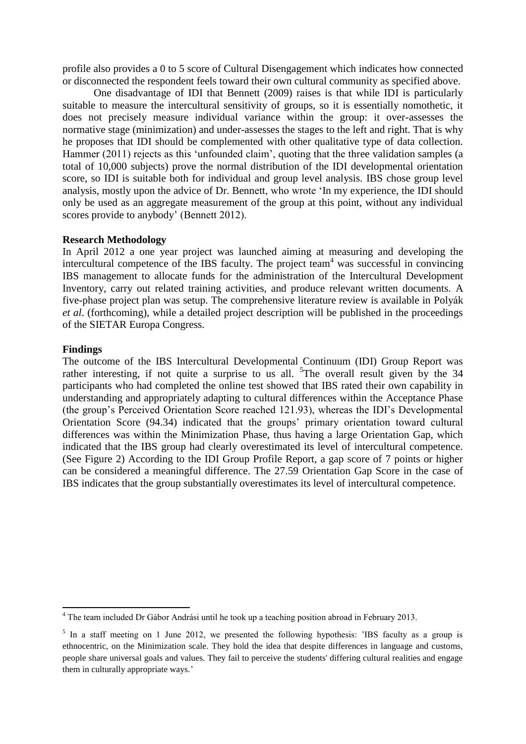profile also provides a 0 to 5 score of Cultural Disengagement which indicates how connected or disconnected the respondent feels toward their own cultural community as specified above.

One disadvantage of IDI that Bennett (2009) raises is that while IDI is particularly suitable to measure the intercultural sensitivity of groups, so it is essentially nomothetic, it does not precisely measure individual variance within the group: it over-assesses the normative stage (minimization) and under-assesses the stages to the left and right. That is why he proposes that IDI should be complemented with other qualitative type of data collection. Hammer (2011) rejects as this 'unfounded claim', quoting that the three validation samples (a total of 10,000 subjects) prove the normal distribution of the IDI developmental orientation score, so IDI is suitable both for individual and group level analysis. IBS chose group level analysis, mostly upon the advice of Dr. Bennett, who wrote 'In my experience, the IDI should only be used as an aggregate measurement of the group at this point, without any individual scores provide to anybody' (Bennett 2012).

## **Research Methodology**

In April 2012 a one year project was launched aiming at measuring and developing the intercultural competence of the IBS faculty. The project team<sup>4</sup> was successful in convincing IBS management to allocate funds for the administration of the Intercultural Development Inventory, carry out related training activities, and produce relevant written documents. A five-phase project plan was setup. The comprehensive literature review is available in Polyák *et al*. (forthcoming), while a detailed project description will be published in the proceedings of the SIETAR Europa Congress.

#### **Findings**

1

The outcome of the IBS Intercultural Developmental Continuum (IDI) Group Report was rather interesting, if not quite a surprise to us all.  $5$ The overall result given by the 34 participants who had completed the online test showed that IBS rated their own capability in understanding and appropriately adapting to cultural differences within the Acceptance Phase (the group's Perceived Orientation Score reached 121.93), whereas the IDI's Developmental Orientation Score (94.34) indicated that the groups' primary orientation toward cultural differences was within the Minimization Phase, thus having a large Orientation Gap, which indicated that the IBS group had clearly overestimated its level of intercultural competence. (See Figure 2) According to the IDI Group Profile Report, a gap score of 7 points or higher can be considered a meaningful difference. The 27.59 Orientation Gap Score in the case of IBS indicates that the group substantially overestimates its level of intercultural competence.

<sup>&</sup>lt;sup>4</sup> The team included Dr Gábor Andrási until he took up a teaching position abroad in February 2013.

<sup>&</sup>lt;sup>5</sup> In a staff meeting on 1 June 2012, we presented the following hypothesis: 'IBS faculty as a group is ethnocentric, on the Minimization scale. They hold the idea that despite differences in language and customs, people share universal goals and values. They fail to perceive the students' differing cultural realities and engage them in culturally appropriate ways.'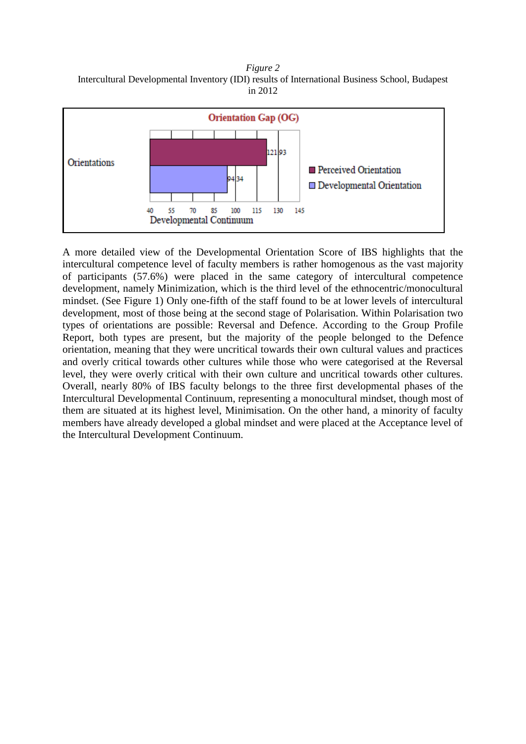*Figure 2* Intercultural Developmental Inventory (IDI) results of International Business School, Budapest in 2012



A more detailed view of the Developmental Orientation Score of IBS highlights that the intercultural competence level of faculty members is rather homogenous as the vast majority of participants (57.6%) were placed in the same category of intercultural competence development, namely Minimization, which is the third level of the ethnocentric/monocultural mindset. (See Figure 1) Only one-fifth of the staff found to be at lower levels of intercultural development, most of those being at the second stage of Polarisation. Within Polarisation two types of orientations are possible: Reversal and Defence. According to the Group Profile Report, both types are present, but the majority of the people belonged to the Defence orientation, meaning that they were uncritical towards their own cultural values and practices and overly critical towards other cultures while those who were categorised at the Reversal level, they were overly critical with their own culture and uncritical towards other cultures. Overall, nearly 80% of IBS faculty belongs to the three first developmental phases of the Intercultural Developmental Continuum, representing a monocultural mindset, though most of them are situated at its highest level, Minimisation. On the other hand, a minority of faculty members have already developed a global mindset and were placed at the Acceptance level of the Intercultural Development Continuum.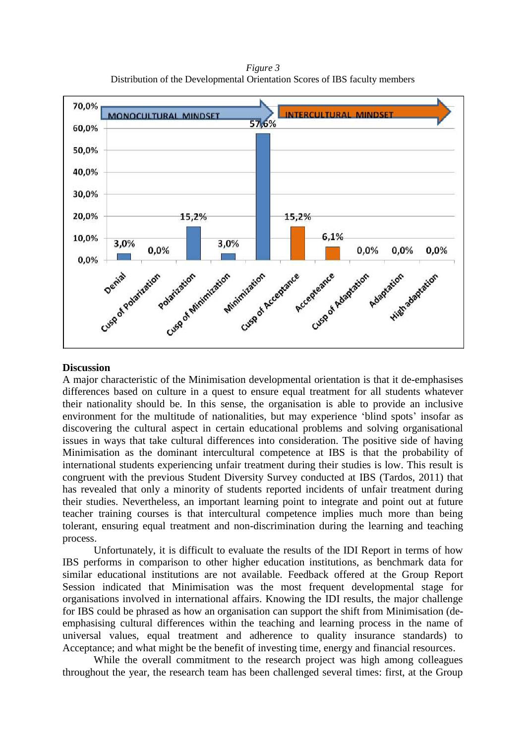*Figure 3* Distribution of the Developmental Orientation Scores of IBS faculty members



### **Discussion**

A major characteristic of the Minimisation developmental orientation is that it de-emphasises differences based on culture in a quest to ensure equal treatment for all students whatever their nationality should be. In this sense, the organisation is able to provide an inclusive environment for the multitude of nationalities, but may experience 'blind spots' insofar as discovering the cultural aspect in certain educational problems and solving organisational issues in ways that take cultural differences into consideration. The positive side of having Minimisation as the dominant intercultural competence at IBS is that the probability of international students experiencing unfair treatment during their studies is low. This result is congruent with the previous Student Diversity Survey conducted at IBS (Tardos, 2011) that has revealed that only a minority of students reported incidents of unfair treatment during their studies. Nevertheless, an important learning point to integrate and point out at future teacher training courses is that intercultural competence implies much more than being tolerant, ensuring equal treatment and non-discrimination during the learning and teaching process.

Unfortunately, it is difficult to evaluate the results of the IDI Report in terms of how IBS performs in comparison to other higher education institutions, as benchmark data for similar educational institutions are not available. Feedback offered at the Group Report Session indicated that Minimisation was the most frequent developmental stage for organisations involved in international affairs. Knowing the IDI results, the major challenge for IBS could be phrased as how an organisation can support the shift from Minimisation (deemphasising cultural differences within the teaching and learning process in the name of universal values, equal treatment and adherence to quality insurance standards) to Acceptance; and what might be the benefit of investing time, energy and financial resources.

While the overall commitment to the research project was high among colleagues throughout the year, the research team has been challenged several times: first, at the Group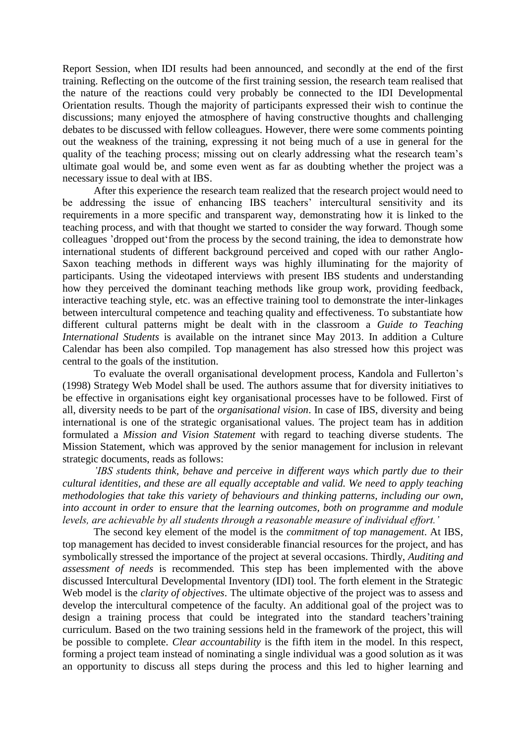Report Session, when IDI results had been announced, and secondly at the end of the first training. Reflecting on the outcome of the first training session, the research team realised that the nature of the reactions could very probably be connected to the IDI Developmental Orientation results. Though the majority of participants expressed their wish to continue the discussions; many enjoyed the atmosphere of having constructive thoughts and challenging debates to be discussed with fellow colleagues. However, there were some comments pointing out the weakness of the training, expressing it not being much of a use in general for the quality of the teaching process; missing out on clearly addressing what the research team's ultimate goal would be, and some even went as far as doubting whether the project was a necessary issue to deal with at IBS.

After this experience the research team realized that the research project would need to be addressing the issue of enhancing IBS teachers' intercultural sensitivity and its requirements in a more specific and transparent way, demonstrating how it is linked to the teaching process, and with that thought we started to consider the way forward. Though some colleagues 'dropped out'from the process by the second training, the idea to demonstrate how international students of different background perceived and coped with our rather Anglo-Saxon teaching methods in different ways was highly illuminating for the majority of participants. Using the videotaped interviews with present IBS students and understanding how they perceived the dominant teaching methods like group work, providing feedback, interactive teaching style, etc. was an effective training tool to demonstrate the inter-linkages between intercultural competence and teaching quality and effectiveness. To substantiate how different cultural patterns might be dealt with in the classroom a *Guide to Teaching International Students* is available on the intranet since May 2013. In addition a Culture Calendar has been also compiled. Top management has also stressed how this project was central to the goals of the institution.

To evaluate the overall organisational development process, Kandola and Fullerton's (1998) Strategy Web Model shall be used. The authors assume that for diversity initiatives to be effective in organisations eight key organisational processes have to be followed. First of all, diversity needs to be part of the *organisational vision*. In case of IBS, diversity and being international is one of the strategic organisational values. The project team has in addition formulated a *Mission and Vision Statement* with regard to teaching diverse students. The Mission Statement, which was approved by the senior management for inclusion in relevant strategic documents, reads as follows:

*'IBS students think, behave and perceive in different ways which partly due to their cultural identities, and these are all equally acceptable and valid. We need to apply teaching methodologies that take this variety of behaviours and thinking patterns, including our own, into account in order to ensure that the learning outcomes, both on programme and module levels, are achievable by all students through a reasonable measure of individual effort.'*

The second key element of the model is the *commitment of top management*. At IBS, top management has decided to invest considerable financial resources for the project, and has symbolically stressed the importance of the project at several occasions. Thirdly, *Auditing and assessment of needs* is recommended. This step has been implemented with the above discussed Intercultural Developmental Inventory (IDI) tool. The forth element in the Strategic Web model is the *clarity of objectives*. The ultimate objective of the project was to assess and develop the intercultural competence of the faculty. An additional goal of the project was to design a training process that could be integrated into the standard teachers'training curriculum. Based on the two training sessions held in the framework of the project, this will be possible to complete. *Clear accountability* is the fifth item in the model. In this respect, forming a project team instead of nominating a single individual was a good solution as it was an opportunity to discuss all steps during the process and this led to higher learning and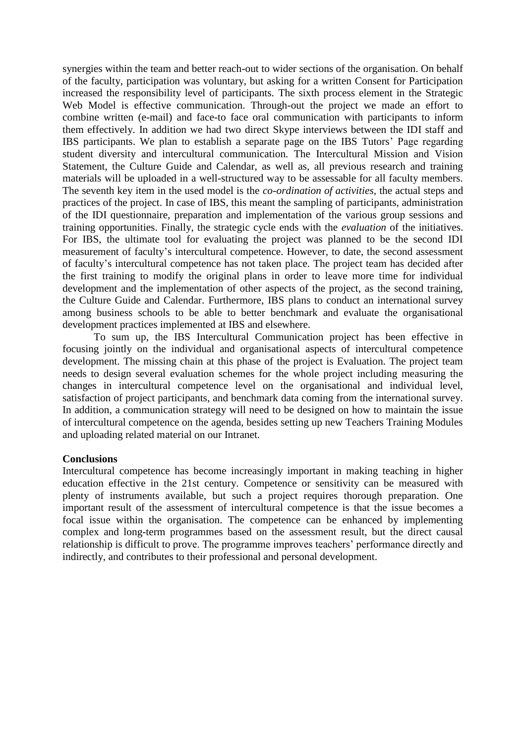synergies within the team and better reach-out to wider sections of the organisation. On behalf of the faculty, participation was voluntary, but asking for a written Consent for Participation increased the responsibility level of participants. The sixth process element in the Strategic Web Model is effective communication. Through-out the project we made an effort to combine written (e-mail) and face-to face oral communication with participants to inform them effectively. In addition we had two direct Skype interviews between the IDI staff and IBS participants. We plan to establish a separate page on the IBS Tutors' Page regarding student diversity and intercultural communication. The Intercultural Mission and Vision Statement, the Culture Guide and Calendar, as well as, all previous research and training materials will be uploaded in a well-structured way to be assessable for all faculty members. The seventh key item in the used model is the *co-ordination of activities,* the actual steps and practices of the project. In case of IBS, this meant the sampling of participants, administration of the IDI questionnaire, preparation and implementation of the various group sessions and training opportunities. Finally, the strategic cycle ends with the *evaluation* of the initiatives. For IBS, the ultimate tool for evaluating the project was planned to be the second IDI measurement of faculty's intercultural competence. However, to date, the second assessment of faculty's intercultural competence has not taken place. The project team has decided after the first training to modify the original plans in order to leave more time for individual development and the implementation of other aspects of the project, as the second training, the Culture Guide and Calendar. Furthermore, IBS plans to conduct an international survey among business schools to be able to better benchmark and evaluate the organisational development practices implemented at IBS and elsewhere.

To sum up, the IBS Intercultural Communication project has been effective in focusing jointly on the individual and organisational aspects of intercultural competence development. The missing chain at this phase of the project is Evaluation. The project team needs to design several evaluation schemes for the whole project including measuring the changes in intercultural competence level on the organisational and individual level, satisfaction of project participants, and benchmark data coming from the international survey. In addition, a communication strategy will need to be designed on how to maintain the issue of intercultural competence on the agenda, besides setting up new Teachers Training Modules and uploading related material on our Intranet.

### **Conclusions**

Intercultural competence has become increasingly important in making teaching in higher education effective in the 21st century. Competence or sensitivity can be measured with plenty of instruments available, but such a project requires thorough preparation. One important result of the assessment of intercultural competence is that the issue becomes a focal issue within the organisation. The competence can be enhanced by implementing complex and long-term programmes based on the assessment result, but the direct causal relationship is difficult to prove. The programme improves teachers' performance directly and indirectly, and contributes to their professional and personal development.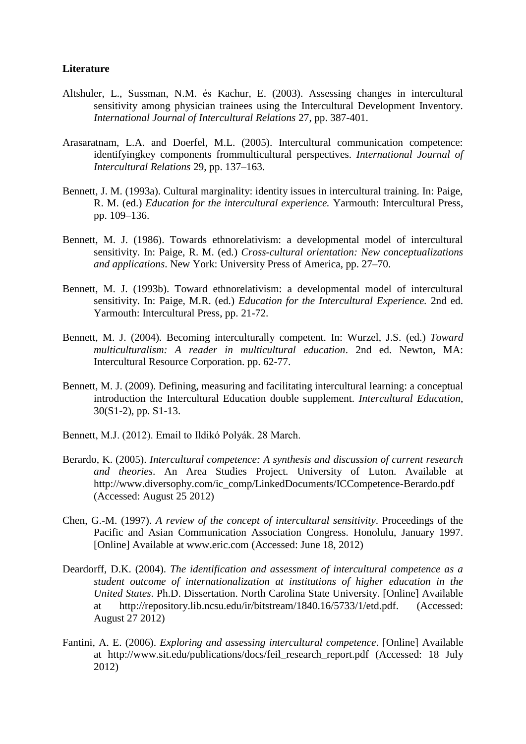### **Literature**

- Altshuler, L., Sussman, N.M. és Kachur, E. (2003). Assessing changes in intercultural sensitivity among physician trainees using the Intercultural Development Inventory. *International Journal of Intercultural Relations* 27, pp. 387-401.
- Arasaratnam, L.A. and Doerfel, M.L. (2005). Intercultural communication competence: identifyingkey components frommulticultural perspectives. *International Journal of Intercultural Relations* 29, pp. 137–163.
- Bennett, J. M. (1993a). Cultural marginality: identity issues in intercultural training. In: Paige, R. M. (ed.) *Education for the intercultural experience.* Yarmouth: Intercultural Press, pp. 109–136.
- Bennett, M. J. (1986). Towards ethnorelativism: a developmental model of intercultural sensitivity. In: Paige, R. M. (ed.) *Cross-cultural orientation: New conceptualizations and applications*. New York: University Press of America, pp. 27–70.
- Bennett, M. J. (1993b). Toward ethnorelativism: a developmental model of intercultural sensitivity. In: Paige, M.R. (ed.) *Education for the Intercultural Experience.* 2nd ed. Yarmouth: Intercultural Press, pp. 21-72.
- Bennett, M. J. (2004). Becoming interculturally competent. In: Wurzel, J.S. (ed.) *Toward multiculturalism: A reader in multicultural education*. 2nd ed. Newton, MA: Intercultural Resource Corporation. pp. 62-77.
- Bennett, M. J. (2009). Defining, measuring and facilitating intercultural learning: a conceptual introduction the Intercultural Education double supplement. *Intercultural Education*, 30(S1-2), pp. S1-13.
- Bennett, M.J. (2012). Email to Ildikó Polyák. 28 March.
- Berardo, K. (2005). *Intercultural competence: A synthesis and discussion of current research and theories*. An Area Studies Project. University of Luton. Available at http://www.diversophy.com/ic\_comp/LinkedDocuments/ICCompetence-Berardo.pdf (Accessed: August 25 2012)
- Chen, G.-M. (1997). *A review of the concept of intercultural sensitivity*. Proceedings of the Pacific and Asian Communication Association Congress. Honolulu, January 1997. [Online] Available at [www.eric.com](http://www.eric.com/) (Accessed: June 18, 2012)
- Deardorff, D.K. (2004). *The identification and assessment of intercultural competence as a student outcome of internationalization at institutions of higher education in the United States*. Ph.D. Dissertation. North Carolina State University. [Online] Available at [http://repository.lib.ncsu.edu/ir/bitstream/1840.16/5733/1/etd.pdf.](http://repository.lib.ncsu.edu/ir/bitstream/1840.16/5733/1/etd.pdf) (Accessed: August 27 2012)
- Fantini, A. E. (2006). *Exploring and assessing intercultural competence*. [Online] Available at [http://www.sit.edu/publications/docs/feil\\_research\\_report.pdf](http://www.sit.edu/publications/docs/feil_research_report.pdf) (Accessed: 18 July 2012)